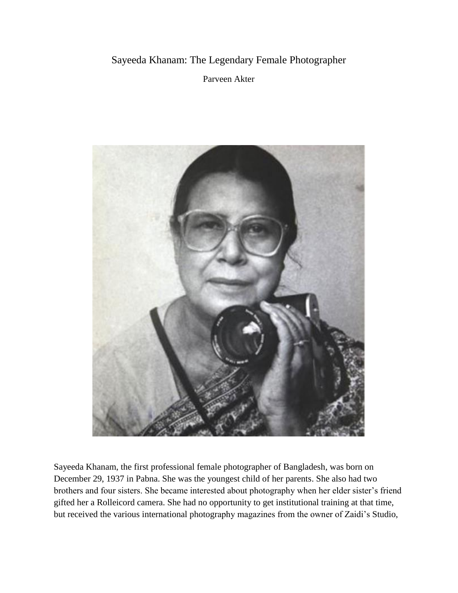## Sayeeda Khanam: The Legendary Female Photographer

Parveen Akter



Sayeeda Khanam, the first professional female photographer of Bangladesh, was born on December 29, 1937 in Pabna. She was the youngest child of her parents. She also had two brothers and four sisters. She became interested about photography when her elder sister's friend gifted her a Rolleicord camera. She had no opportunity to get institutional training at that time, but received the various international photography magazines from the owner of Zaidi's Studio,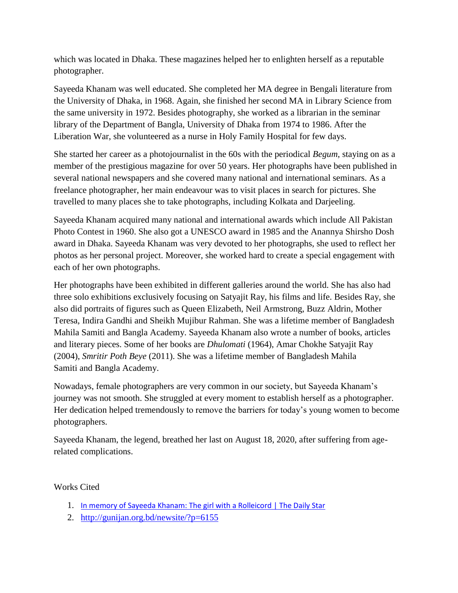which was located in Dhaka. These magazines helped her to enlighten herself as a reputable photographer.

Sayeeda Khanam was well educated. She completed her MA degree in Bengali literature from the University of Dhaka, in 1968. Again, she finished her second MA in Library Science from the same university in 1972. Besides photography, she worked as a librarian in the seminar library of the Department of Bangla, University of Dhaka from 1974 to 1986. After the Liberation War, she volunteered as a nurse in Holy Family Hospital for few days.

She started her career as a photojournalist in the 60s with the periodical *Begum*, staying on as a member of the prestigious magazine for over 50 years. Her photographs have been published in several national newspapers and she covered many national and international seminars. As a freelance photographer, her main endeavour was to visit places in search for pictures. She travelled to many places she to take photographs, including Kolkata and Darjeeling.

Sayeeda Khanam acquired many national and international awards which include All Pakistan Photo Contest in 1960. She also got a UNESCO award in 1985 and the Anannya Shirsho Dosh award in Dhaka. Sayeeda Khanam was very devoted to her photographs, she used to reflect her photos as her personal project. Moreover, she worked hard to create a special engagement with each of her own photographs.

Her photographs have been exhibited in different galleries around the world. She has also had three solo exhibitions exclusively focusing on Satyajit Ray, his films and life. Besides Ray, she also did portraits of figures such as Queen Elizabeth, Neil Armstrong, Buzz Aldrin, Mother Teresa, Indira Gandhi and Sheikh Mujibur Rahman. She was a lifetime member of Bangladesh Mahila Samiti and Bangla Academy. Sayeeda Khanam also wrote a number of books, articles and literary pieces. Some of her books are *Dhulomati* (1964), Amar Chokhe Satyajit Ray (2004), *Smritir Poth Beye* (2011). She was a lifetime member of [Bangladesh Mahila](https://en.wikipedia.org/wiki/Bangladesh_Mahila_Samiti)  [Samiti](https://en.wikipedia.org/wiki/Bangladesh_Mahila_Samiti) and [Bangla Academy.](https://en.wikipedia.org/wiki/Bangla_Academy)

Nowadays, female photographers are very common in our society, but Sayeeda Khanam's journey was not smooth. She struggled at every moment to establish herself as a photographer. Her dedication helped tremendously to remove the barriers for today's young women to become photographers.

Sayeeda Khanam, the legend, breathed her last on August 18, 2020, after suffering from agerelated complications.

Works Cited

- 1. [In memory of Sayeeda Khanam: The girl with a Rolleicord | The Daily Star](https://www.thedailystar.net/opinion/tribute/news/memory-sayeeda-khanam-the-girl-rolleicord-1947121)
- 2. <http://gunijan.org.bd/newsite/?p=6155>